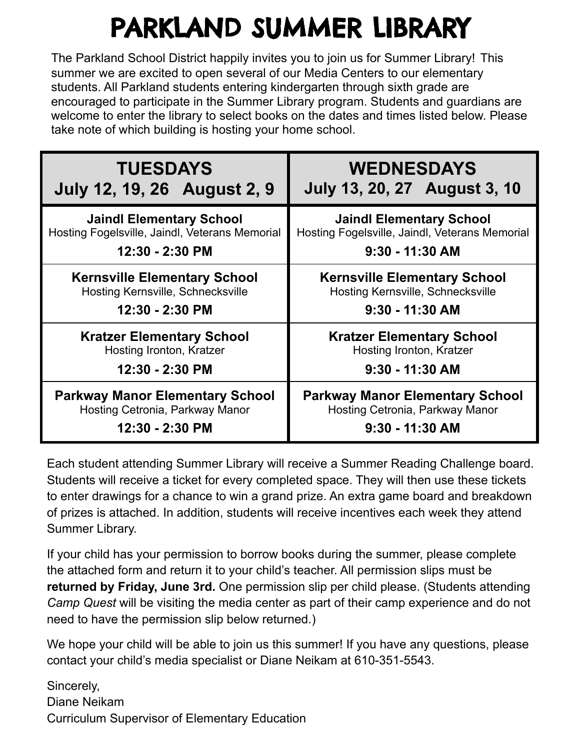## PARKLAND SUMMER LIBRARY

The Parkland School District happily invites you to join us for Summer Library! This summer we are excited to open several of our Media Centers to our elementary students. All Parkland students entering kindergarten through sixth grade are encouraged to participate in the Summer Library program. Students and guardians are welcome to enter the library to select books on the dates and times listed below. Please take note of which building is hosting your home school.

| <b>TUESDAYS</b>                                | <b>WEDNESDAYS</b>                              |  |
|------------------------------------------------|------------------------------------------------|--|
| July 12, 19, 26 August 2, 9                    | <b>July 13, 20, 27 August 3, 10</b>            |  |
| <b>Jaindl Elementary School</b>                | <b>Jaindl Elementary School</b>                |  |
| Hosting Fogelsville, Jaindl, Veterans Memorial | Hosting Fogelsville, Jaindl, Veterans Memorial |  |
| 12:30 - 2:30 PM                                | $9:30 - 11:30$ AM                              |  |
| <b>Kernsville Elementary School</b>            | <b>Kernsville Elementary School</b>            |  |
| Hosting Kernsville, Schnecksville              | Hosting Kernsville, Schnecksville              |  |
| 12:30 - 2:30 PM                                | $9:30 - 11:30$ AM                              |  |
| <b>Kratzer Elementary School</b>               | <b>Kratzer Elementary School</b>               |  |
| Hosting Ironton, Kratzer                       | Hosting Ironton, Kratzer                       |  |
| 12:30 - 2:30 PM                                | 9:30 - 11:30 AM                                |  |
| <b>Parkway Manor Elementary School</b>         | <b>Parkway Manor Elementary School</b>         |  |
| Hosting Cetronia, Parkway Manor                | Hosting Cetronia, Parkway Manor                |  |
| 12:30 - 2:30 PM                                | $9:30 - 11:30$ AM                              |  |

Each student attending Summer Library will receive a Summer Reading Challenge board. Students will receive a ticket for every completed space. They will then use these tickets to enter drawings for a chance to win a grand prize. An extra game board and breakdown of prizes is attached. In addition, students will receive incentives each week they attend Summer Library.

If your child has your permission to borrow books during the summer, please complete the attached form and return it to your child's teacher. All permission slips must be **returned by Friday, June 3rd.** One permission slip per child please. (Students attending *Camp Quest* will be visiting the media center as part of their camp experience and do not need to have the permission slip below returned.)

We hope your child will be able to join us this summer! If you have any questions, please contact your child's media specialist or Diane Neikam at 610-351-5543.

Sincerely, Diane Neikam Curriculum Supervisor of Elementary Education